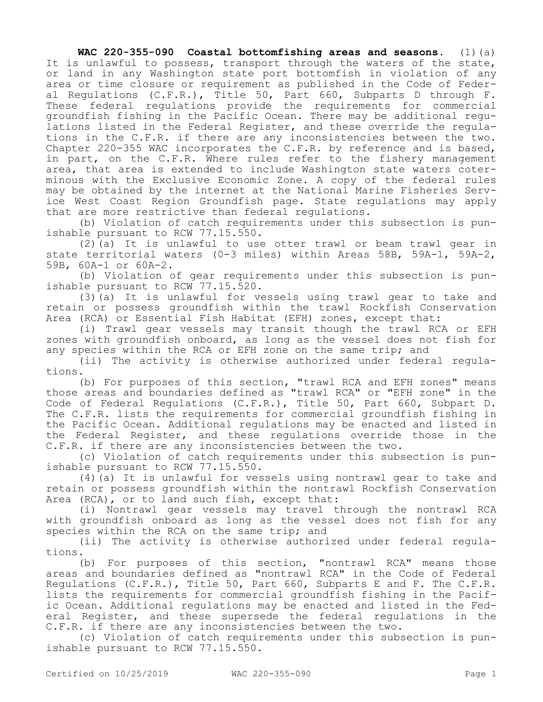**WAC 220-355-090 Coastal bottomfishing areas and seasons.** (1)(a) It is unlawful to possess, transport through the waters of the state, or land in any Washington state port bottomfish in violation of any area or time closure or requirement as published in the Code of Federal Regulations (C.F.R.), Title 50, Part 660, Subparts D through F. These federal regulations provide the requirements for commercial groundfish fishing in the Pacific Ocean. There may be additional regulations listed in the Federal Register, and these override the regulations in the C.F.R. if there are any inconsistencies between the two. Chapter 220-355 WAC incorporates the C.F.R. by reference and is based, in part, on the C.F.R. Where rules refer to the fishery management area, that area is extended to include Washington state waters coterminous with the Exclusive Economic Zone. A copy of the federal rules may be obtained by the internet at the National Marine Fisheries Service West Coast Region Groundfish page. State regulations may apply that are more restrictive than federal regulations.

(b) Violation of catch requirements under this subsection is punishable pursuant to RCW 77.15.550.

(2)(a) It is unlawful to use otter trawl or beam trawl gear in state territorial waters (0-3 miles) within Areas 58B, 59A-1, 59A-2, 59B, 60A-1 or 60A-2.

(b) Violation of gear requirements under this subsection is punishable pursuant to RCW 77.15.520.

(3)(a) It is unlawful for vessels using trawl gear to take and retain or possess groundfish within the trawl Rockfish Conservation Area (RCA) or Essential Fish Habitat (EFH) zones, except that:

(i) Trawl gear vessels may transit though the trawl RCA or EFH zones with groundfish onboard, as long as the vessel does not fish for any species within the RCA or EFH zone on the same trip; and

(ii) The activity is otherwise authorized under federal regulations.

(b) For purposes of this section, "trawl RCA and EFH zones" means those areas and boundaries defined as "trawl RCA" or "EFH zone" in the Code of Federal Regulations (C.F.R.), Title 50, Part 660, Subpart D. The C.F.R. lists the requirements for commercial groundfish fishing in the Pacific Ocean. Additional regulations may be enacted and listed in the Federal Register, and these regulations override those in the C.F.R. if there are any inconsistencies between the two.

(c) Violation of catch requirements under this subsection is punishable pursuant to RCW 77.15.550.

(4)(a) It is unlawful for vessels using nontrawl gear to take and retain or possess groundfish within the nontrawl Rockfish Conservation Area (RCA), or to land such fish, except that:

(i) Nontrawl gear vessels may travel through the nontrawl RCA with groundfish onboard as long as the vessel does not fish for any species within the RCA on the same trip; and

(ii) The activity is otherwise authorized under federal regulations.

(b) For purposes of this section, "nontrawl RCA" means those areas and boundaries defined as "nontrawl RCA" in the Code of Federal Regulations (C.F.R.), Title 50, Part 660, Subparts E and F. The C.F.R. lists the requirements for commercial groundfish fishing in the Pacific Ocean. Additional regulations may be enacted and listed in the Federal Register, and these supersede the federal regulations in the C.F.R. if there are any inconsistencies between the two.

(c) Violation of catch requirements under this subsection is punishable pursuant to RCW 77.15.550.